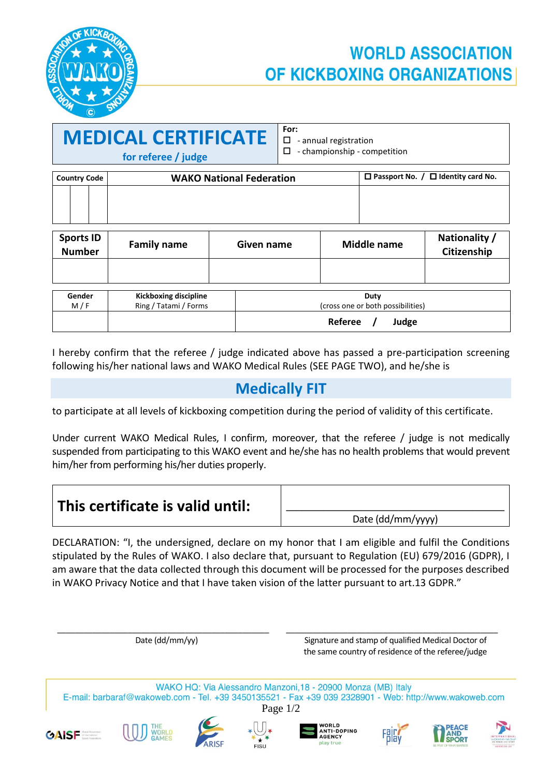

## **WORLD ASSOCIATION** OF KICKBOXING ORGANIZATIONS

\_\_\_\_\_\_\_\_\_\_\_\_\_\_\_\_\_\_\_\_\_\_\_\_\_\_\_\_\_\_\_\_\_\_\_\_\_\_\_\_\_\_\_\_\_\_\_\_

| <b>MEDICAL CERTIFICATE</b> |  |
|----------------------------|--|
| for referee / judge        |  |

 $\overline{\phantom{a}}$  , and the set of the set of the set of the set of the set of the set of the set of the set of the set of the set of the set of the set of the set of the set of the set of the set of the set of the set of the s

 - annual registration - championship - competition

| <b>Country Code</b> |  | <b>WAKO National Federation</b> | $\Box$ Passport No. / $\Box$ Identity card No. |
|---------------------|--|---------------------------------|------------------------------------------------|
|                     |  |                                 |                                                |
|                     |  |                                 |                                                |

| <b>Sports ID</b><br><b>Number</b> | <b>Family name</b>                                    | Given name | <b>Middle name</b>                        | Nationality /<br>Citizenship |
|-----------------------------------|-------------------------------------------------------|------------|-------------------------------------------|------------------------------|
|                                   |                                                       |            |                                           |                              |
| Gender<br>M/F                     | <b>Kickboxing discipline</b><br>Ring / Tatami / Forms |            | Duty<br>(cross one or both possibilities) |                              |
|                                   |                                                       |            | Referee<br>Judge                          |                              |

I hereby confirm that the referee / judge indicated above has passed a pre-participation screening following his/her national laws and WAKO Medical Rules (SEE PAGE TWO), and he/she is

### **Medically FIT**

to participate at all levels of kickboxing competition during the period of validity of this certificate.

Under current WAKO Medical Rules, I confirm, moreover, that the referee / judge is not medically suspended from participating to this WAKO event and he/she has no health problems that would prevent him/her from performing his/her duties properly.

| $\vert$ This certificate is valid until: |                   |
|------------------------------------------|-------------------|
|                                          | Date (dd/mm/yyyy) |

DECLARATION: "I, the undersigned, declare on my honor that I am eligible and fulfil the Conditions stipulated by the Rules of WAKO. I also declare that, pursuant to Regulation (EU) 679/2016 (GDPR), I am aware that the data collected through this document will be processed for the purposes described in WAKO Privacy Notice and that I have taken vision of the latter pursuant to art.13 GDPR."

Date (dd/mm/yy) Signature and stamp of qualified Medical Doctor of the same country of residence of the referee/judge WAKO HQ: Via Alessandro Manzoni, 18 - 20900 Monza (MB) Italy E-mail: barbaraf@wakoweb.com - Tel. +39 3450135521 - Fax +39 039 2328901 - Web: http://www.wakoweb.com Page 1/2**ORLD ANTI-DOPING GAISE** AGENCY